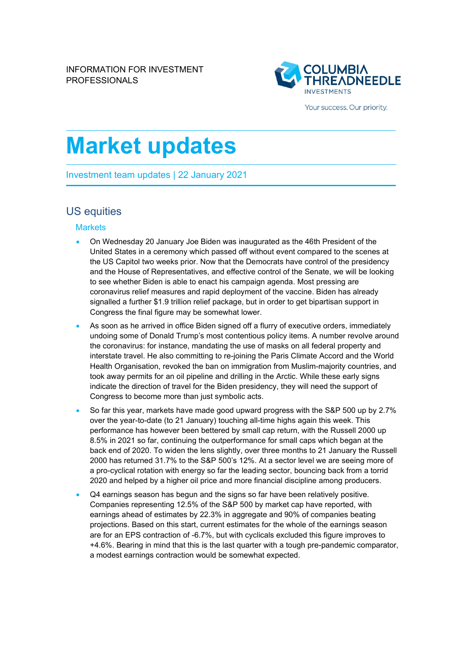

Your success. Our priority.

# **Market updates**

Investment team updates | 22 January 2021

## US equities

#### **Markets**

- On Wednesday 20 January Joe Biden was inaugurated as the 46th President of the United States in a ceremony which passed off without event compared to the scenes at the US Capitol two weeks prior. Now that the Democrats have control of the presidency and the House of Representatives, and effective control of the Senate, we will be looking to see whether Biden is able to enact his campaign agenda. Most pressing are coronavirus relief measures and rapid deployment of the vaccine. Biden has already signalled a further \$1.9 trillion relief package, but in order to get bipartisan support in Congress the final figure may be somewhat lower.
- As soon as he arrived in office Biden signed off a flurry of executive orders, immediately undoing some of Donald Trump's most contentious policy items. A number revolve around the coronavirus: for instance, mandating the use of masks on all federal property and interstate travel. He also committing to re-joining the Paris Climate Accord and the World Health Organisation, revoked the ban on immigration from Muslim-majority countries, and took away permits for an oil pipeline and drilling in the Arctic. While these early signs indicate the direction of travel for the Biden presidency, they will need the support of Congress to become more than just symbolic acts.
- So far this year, markets have made good upward progress with the S&P 500 up by 2.7% over the year-to-date (to 21 January) touching all-time highs again this week. This performance has however been bettered by small cap return, with the Russell 2000 up 8.5% in 2021 so far, continuing the outperformance for small caps which began at the back end of 2020. To widen the lens slightly, over three months to 21 January the Russell 2000 has returned 31.7% to the S&P 500's 12%. At a sector level we are seeing more of a pro-cyclical rotation with energy so far the leading sector, bouncing back from a torrid 2020 and helped by a higher oil price and more financial discipline among producers.
- Q4 earnings season has begun and the signs so far have been relatively positive. Companies representing 12.5% of the S&P 500 by market cap have reported, with earnings ahead of estimates by 22.3% in aggregate and 90% of companies beating projections. Based on this start, current estimates for the whole of the earnings season are for an EPS contraction of -6.7%, but with cyclicals excluded this figure improves to +4.6%. Bearing in mind that this is the last quarter with a tough pre-pandemic comparator, a modest earnings contraction would be somewhat expected.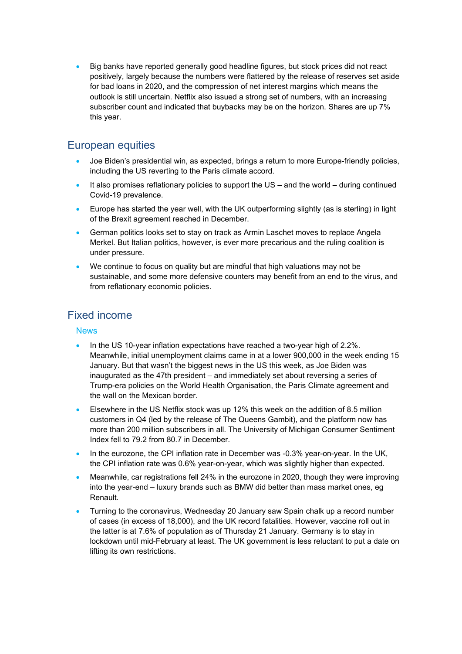• Big banks have reported generally good headline figures, but stock prices did not react positively, largely because the numbers were flattered by the release of reserves set aside for bad loans in 2020, and the compression of net interest margins which means the outlook is still uncertain. Netflix also issued a strong set of numbers, with an increasing subscriber count and indicated that buybacks may be on the horizon. Shares are up 7% this year.

## European equities

- Joe Biden's presidential win, as expected, brings a return to more Europe-friendly policies, including the US reverting to the Paris climate accord.
- It also promises reflationary policies to support the US and the world during continued Covid-19 prevalence.
- Europe has started the year well, with the UK outperforming slightly (as is sterling) in light of the Brexit agreement reached in December.
- German politics looks set to stay on track as Armin Laschet moves to replace Angela Merkel. But Italian politics, however, is ever more precarious and the ruling coalition is under pressure.
- We continue to focus on quality but are mindful that high valuations may not be sustainable, and some more defensive counters may benefit from an end to the virus, and from reflationary economic policies.

## Fixed income

#### **News**

- In the US 10-year inflation expectations have reached a two-year high of 2.2%. Meanwhile, initial unemployment claims came in at a lower 900,000 in the week ending 15 January. But that wasn't the biggest news in the US this week, as Joe Biden was inaugurated as the 47th president – and immediately set about reversing a series of Trump-era policies on the World Health Organisation, the Paris Climate agreement and the wall on the Mexican border.
- Elsewhere in the US Netflix stock was up 12% this week on the addition of 8.5 million customers in Q4 (led by the release of The Queens Gambit), and the platform now has more than 200 million subscribers in all. The University of Michigan Consumer Sentiment Index fell to 79.2 from 80.7 in December.
- In the eurozone, the CPI inflation rate in December was -0.3% year-on-year. In the UK, the CPI inflation rate was 0.6% year-on-year, which was slightly higher than expected.
- Meanwhile, car registrations fell 24% in the eurozone in 2020, though they were improving into the year-end – luxury brands such as BMW did better than mass market ones, eg Renault.
- Turning to the coronavirus, Wednesday 20 January saw Spain chalk up a record number of cases (in excess of 18,000), and the UK record fatalities. However, vaccine roll out in the latter is at 7.6% of population as of Thursday 21 January. Germany is to stay in lockdown until mid-February at least. The UK government is less reluctant to put a date on lifting its own restrictions.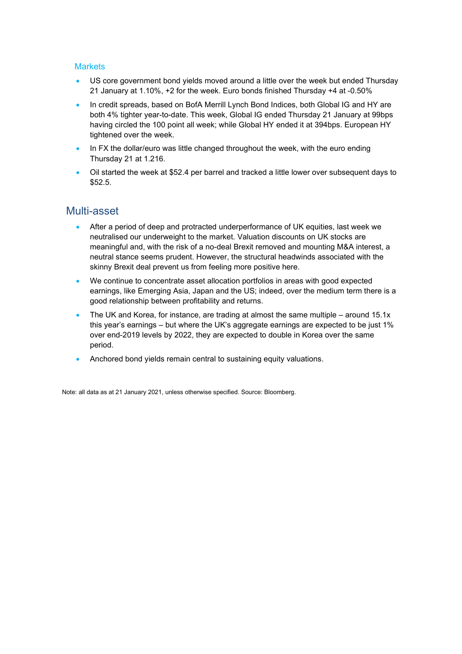#### **Markets**

- US core government bond yields moved around a little over the week but ended Thursday 21 January at 1.10%, +2 for the week. Euro bonds finished Thursday +4 at -0.50%
- In credit spreads, based on BofA Merrill Lynch Bond Indices, both Global IG and HY are both 4% tighter year-to-date. This week, Global IG ended Thursday 21 January at 99bps having circled the 100 point all week; while Global HY ended it at 394bps. European HY tightened over the week.
- In FX the dollar/euro was little changed throughout the week, with the euro ending Thursday 21 at 1.216.
- Oil started the week at \$52.4 per barrel and tracked a little lower over subsequent days to \$52.5.

### Multi-asset

- After a period of deep and protracted underperformance of UK equities, last week we neutralised our underweight to the market. Valuation discounts on UK stocks are meaningful and, with the risk of a no-deal Brexit removed and mounting M&A interest, a neutral stance seems prudent. However, the structural headwinds associated with the skinny Brexit deal prevent us from feeling more positive here.
- We continue to concentrate asset allocation portfolios in areas with good expected earnings, like Emerging Asia, Japan and the US; indeed, over the medium term there is a good relationship between profitability and returns.
- The UK and Korea, for instance, are trading at almost the same multiple around  $15.1x$ this year's earnings – but where the UK's aggregate earnings are expected to be just 1% over end-2019 levels by 2022, they are expected to double in Korea over the same period.
- Anchored bond yields remain central to sustaining equity valuations.

Note: all data as at 21 January 2021, unless otherwise specified. Source: Bloomberg.